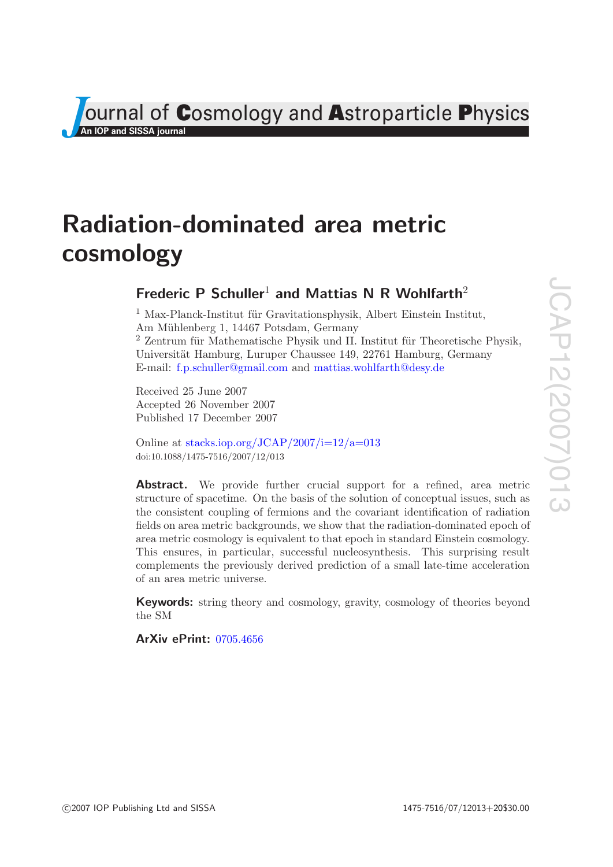JCAP12(2007)013 JCAP12(2007)013

**COSMOLOGY And ASTOPARTICLE PhySics An IOP and SISSA journal** 

# **Radiation-dominated area metric cosmology**

# **Frederic P Schuller<sup>1</sup> and Mattias N R Wohlfarth<sup>2</sup>**

 $1$  Max-Planck-Institut für Gravitationsphysik, Albert Einstein Institut, Am Mühlenberg 1, 14467 Potsdam, Germany  $2$  Zentrum für Mathematische Physik und II. Institut für Theoretische Physik, Universität Hamburg, Luruper Chaussee 149, 22761 Hamburg, Germany E-mail: [f.p.schuller@gmail.com](mailto:f.p.schuller@gmail.com) and [mattias.wohlfarth@desy.de](mailto:mattias.wohlfarth@desy.de)

Received 25 June 2007 Accepted 26 November 2007 Published 17 December 2007

Online at [stacks.iop.org/JCAP/2007/i=12/a=013](http://stacks.iop.org/JCAP/2007/i=12/a=013) doi:10.1088/1475-7516/2007/12/013

Abstract. We provide further crucial support for a refined, area metric structure of spacetime. On the basis of the solution of conceptual issues, such as the consistent coupling of fermions and the covariant identification of radiation fields on area metric backgrounds, we show that the radiation-dominated epoch of area metric cosmology is equivalent to that epoch in standard Einstein cosmology. This ensures, in particular, successful nucleosynthesis. This surprising result complements the previously derived prediction of a small late-time acceleration of an area metric universe.

**Keywords:** string theory and cosmology, gravity, cosmology of theories beyond the SM

**ArXiv ePrint:** [0705.4656](http://arxiv.org/abs/0705.4656)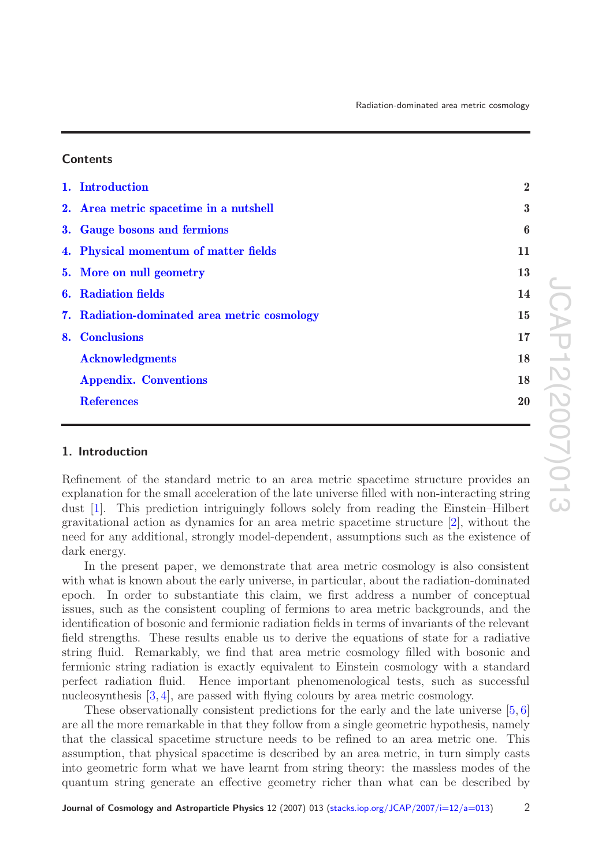### **Contents**

| 1. Introduction                              | $\overline{2}$   |
|----------------------------------------------|------------------|
| 2. Area metric spacetime in a nutshell       | $\bf{3}$         |
| 3. Gauge bosons and fermions                 | $\boldsymbol{6}$ |
| 4. Physical momentum of matter fields        | 11               |
| 5. More on null geometry                     | 13               |
| <b>6.</b> Radiation fields                   | 14               |
| 7. Radiation-dominated area metric cosmology | 15               |
| 8. Conclusions                               | 17               |
| <b>Acknowledgments</b>                       | 18               |
| <b>Appendix. Conventions</b>                 | 18               |
| <b>References</b>                            | 20               |
|                                              |                  |

## <span id="page-1-0"></span>**1. Introduction**

Refinement of the standard metric to an area metric spacetime structure provides an explanation for the small acceleration of the late universe filled with non-interacting string dust [\[1\]](#page-19-2). This prediction intriguingly follows solely from reading the Einstein–Hilbert gravitational action as dynamics for an area metric spacetime structure [\[2\]](#page-19-3), without the need for any additional, strongly model-dependent, assumptions such as the existence of dark energy.

In the present paper, we demonstrate that area metric cosmology is also consistent with what is known about the early universe, in particular, about the radiation-dominated epoch. In order to substantiate this claim, we first address a number of conceptual issues, such as the consistent coupling of fermions to area metric backgrounds, and the identification of bosonic and fermionic radiation fields in terms of invariants of the relevant field strengths. These results enable us to derive the equations of state for a radiative string fluid. Remarkably, we find that area metric cosmology filled with bosonic and fermionic string radiation is exactly equivalent to Einstein cosmology with a standard perfect radiation fluid. Hence important phenomenological tests, such as successful nucleosynthesis [\[3,](#page-19-4) [4\]](#page-19-5), are passed with flying colours by area metric cosmology.

These observationally consistent predictions for the early and the late universe [\[5,](#page-19-6) [6\]](#page-19-7) are all the more remarkable in that they follow from a single geometric hypothesis, namely that the classical spacetime structure needs to be refined to an area metric one. This assumption, that physical spacetime is described by an area metric, in turn simply casts into geometric form what we have learnt from string theory: the massless modes of the quantum string generate an effective geometry richer than what can be described by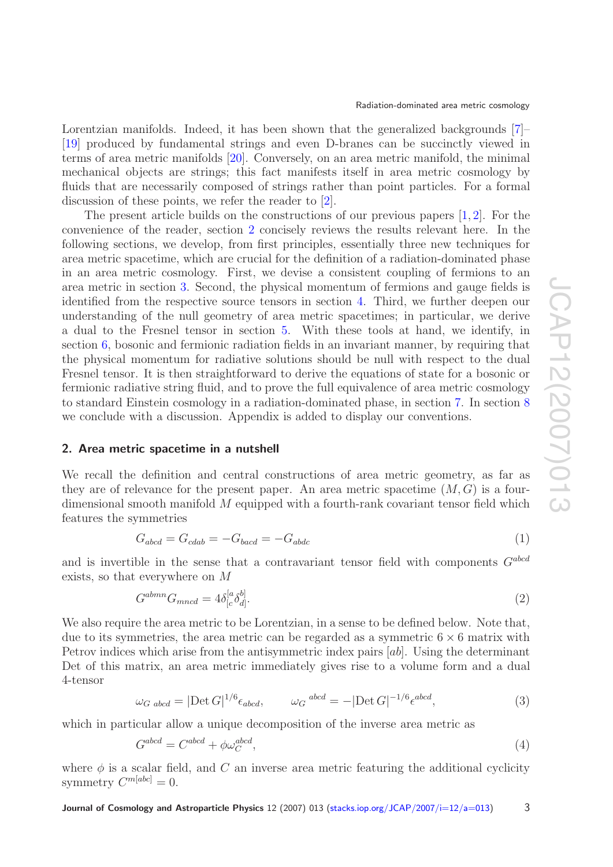Lorentzian manifolds. Indeed, it has been shown that the generalized backgrounds [\[7\]](#page-19-8)– [\[19\]](#page-19-9) produced by fundamental strings and even D-branes can be succinctly viewed in terms of area metric manifolds [\[20\]](#page-19-10). Conversely, on an area metric manifold, the minimal mechanical objects are strings; this fact manifests itself in area metric cosmology by fluids that are necessarily composed of strings rather than point particles. For a formal discussion of these points, we refer the reader to [\[2\]](#page-19-3).

The present article builds on the constructions of our previous papers  $[1, 2]$  $[1, 2]$  $[1, 2]$ . For the convenience of the reader, section [2](#page-2-0) concisely reviews the results relevant here. In the following sections, we develop, from first principles, essentially three new techniques for area metric spacetime, which are crucial for the definition of a radiation-dominated phase in an area metric cosmology. First, we devise a consistent coupling of fermions to an area metric in section [3.](#page-5-0) Second, the physical momentum of fermions and gauge fields is identified from the respective source tensors in section [4.](#page-10-0) Third, we further deepen our understanding of the null geometry of area metric spacetimes; in particular, we derive a dual to the Fresnel tensor in section [5.](#page-12-0) With these tools at hand, we identify, in section [6,](#page-13-0) bosonic and fermionic radiation fields in an invariant manner, by requiring that the physical momentum for radiative solutions should be null with respect to the dual Fresnel tensor. It is then straightforward to derive the equations of state for a bosonic or fermionic radiative string fluid, and to prove the full equivalence of area metric cosmology to standard Einstein cosmology in a radiation-dominated phase, in section [7.](#page-14-0) In section [8](#page-16-0) we conclude with a discussion. Appendix is added to display our conventions.

#### <span id="page-2-0"></span>**2. Area metric spacetime in a nutshell**

We recall the definition and central constructions of area metric geometry, as far as they are of relevance for the present paper. An area metric spacetime  $(M, G)$  is a fourdimensional smooth manifold M equipped with a fourth-rank covariant tensor field which features the symmetries

$$
G_{abcd} = G_{cdab} = -G_{bacd} = -G_{abdc} \tag{1}
$$

and is invertible in the sense that a contravariant tensor field with components  $G^{abcd}$ exists, so that everywhere on M

$$
G^{abmn}G_{mncd} = 4\delta^{[a}_{[c}\delta^{b]}_{d]}.
$$
\n
$$
(2)
$$

We also require the area metric to be Lorentzian, in a sense to be defined below. Note that, due to its symmetries, the area metric can be regarded as a symmetric  $6 \times 6$  matrix with Petrov indices which arise from the antisymmetric index pairs [ab]. Using the determinant Det of this matrix, an area metric immediately gives rise to a volume form and a dual 4-tensor

$$
\omega_G \text{ abcd} = |\text{Det } G|^{1/6} \epsilon_{abcd}, \qquad \omega_G \text{ abcd} = -|\text{Det } G|^{-1/6} \epsilon^{abcd}, \tag{3}
$$

which in particular allow a unique decomposition of the inverse area metric as

<span id="page-2-1"></span>
$$
G^{abcd} = C^{abcd} + \phi \omega_C^{abcd},\tag{4}
$$

where  $\phi$  is a scalar field, and C an inverse area metric featuring the additional cyclicity symmetry  $C^{m[abc]}=0$ .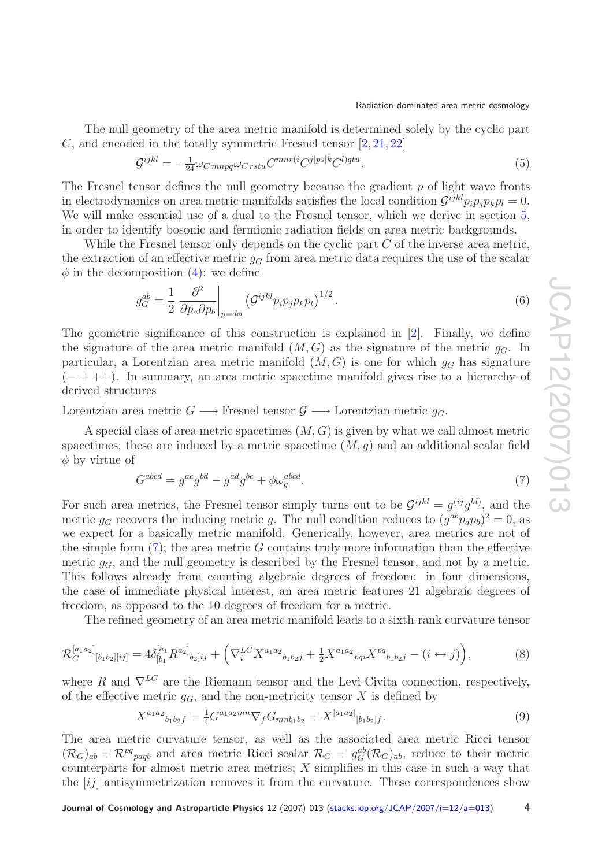The null geometry of the area metric manifold is determined solely by the cyclic part C, and encoded in the totally symmetric Fresnel tensor [\[2,](#page-19-3) [21,](#page-19-11) [22\]](#page-19-12)

<span id="page-3-1"></span>
$$
\mathcal{G}^{ijkl} = -\frac{1}{24}\omega_{C\,mnpq}\omega_{Crstu}C^{mnr(i}C^{j|ps|k}C^{l)qtu}.\tag{5}
$$

The Fresnel tensor defines the null geometry because the gradient  $p$  of light wave fronts in electrodynamics on area metric manifolds satisfies the local condition  $\mathcal{G}^{ijkl}p_ip_ip_ip_k=0$ . We will make essential use of a dual to the Fresnel tensor, which we derive in section [5,](#page-12-0) in order to identify bosonic and fermionic radiation fields on area metric backgrounds.

While the Fresnel tensor only depends on the cyclic part C of the inverse area metric, the extraction of an effective metric  $g_G$  from area metric data requires the use of the scalar  $\phi$  in the decomposition [\(4\)](#page-2-1): we define

$$
g_G^{ab} = \frac{1}{2} \left. \frac{\partial^2}{\partial p_a \partial p_b} \right|_{p=d\phi} \left( \mathcal{G}^{ijkl} p_i p_j p_k p_l \right)^{1/2} . \tag{6}
$$

The geometric significance of this construction is explained in [\[2\]](#page-19-3). Finally, we define the signature of the area metric manifold  $(M, G)$  as the signature of the metric  $g_G$ . In particular, a Lorentzian area metric manifold  $(M, G)$  is one for which  $g_G$  has signature  $(- + + +)$ . In summary, an area metric spacetime manifold gives rise to a hierarchy of derived structures

Lorentzian area metric  $G \longrightarrow$  Fresnel tensor  $\mathcal{G} \longrightarrow$  Lorentzian metric  $q_G$ .

A special class of area metric spacetimes  $(M, G)$  is given by what we call almost metric spacetimes; these are induced by a metric spacetime  $(M, g)$  and an additional scalar field  $\phi$  by virtue of

$$
G^{abcd} = g^{ac}g^{bd} - g^{ad}g^{bc} + \phi\omega_g^{abcd}.\tag{7}
$$

<span id="page-3-0"></span>For such area metrics, the Fresnel tensor simply turns out to be  $\mathcal{G}^{ijkl} = g^{(ij}g^{kl)}$ , and the metric  $g_G$  recovers the inducing metric g. The null condition reduces to  $(g^{ab}p_a p_b)^2 = 0$ , as we expect for a basically metric manifold. Generically, however, area metrics are not of the simple form  $(7)$ ; the area metric G contains truly more information than the effective metric  $q_G$ , and the null geometry is described by the Fresnel tensor, and not by a metric. This follows already from counting algebraic degrees of freedom: in four dimensions, the case of immediate physical interest, an area metric features 21 algebraic degrees of freedom, as opposed to the 10 degrees of freedom for a metric.

The refined geometry of an area metric manifold leads to a sixth-rank curvature tensor

$$
\mathcal{R}_G^{[a_1a_2]}_{\ [b_1b_2][ij]} = 4\delta^{[a_1}_{[b_1}R^{a_2]}_{\ b_2]ij} + \left(\nabla_i^{LC}X^{a_1a_2}_{\ b_1b_2j} + \frac{1}{2}X^{a_1a_2}_{\ pqi}X^{pq}_{\ b_1b_2j} - (i \leftrightarrow j)\right),\tag{8}
$$

where R and  $\nabla^{LC}$  are the Riemann tensor and the Levi-Civita connection, respectively, of the effective metric  $g_G$ , and the non-metricity tensor X is defined by

$$
X^{a_1 a_2}{}_{b_1 b_2 f} = \frac{1}{4} G^{a_1 a_2 mn} \nabla_f G_{m n b_1 b_2} = X^{[a_1 a_2]}{}_{[b_1 b_2]f}.
$$
\n
$$
(9)
$$

The area metric curvature tensor, as well as the associated area metric Ricci tensor  $(\mathcal{R}_G)_{ab} = \mathcal{R}^{pq}{}_{p a q b}$  and area metric Ricci scalar  $\mathcal{R}_G = g_G^{ab}(\mathcal{R}_G)_{ab}$ , reduce to their metric counterparts for almost metric area metrics;  $X$  simplifies in this case in such a way that the [ij] antisymmetrization removes it from the curvature. These correspondences show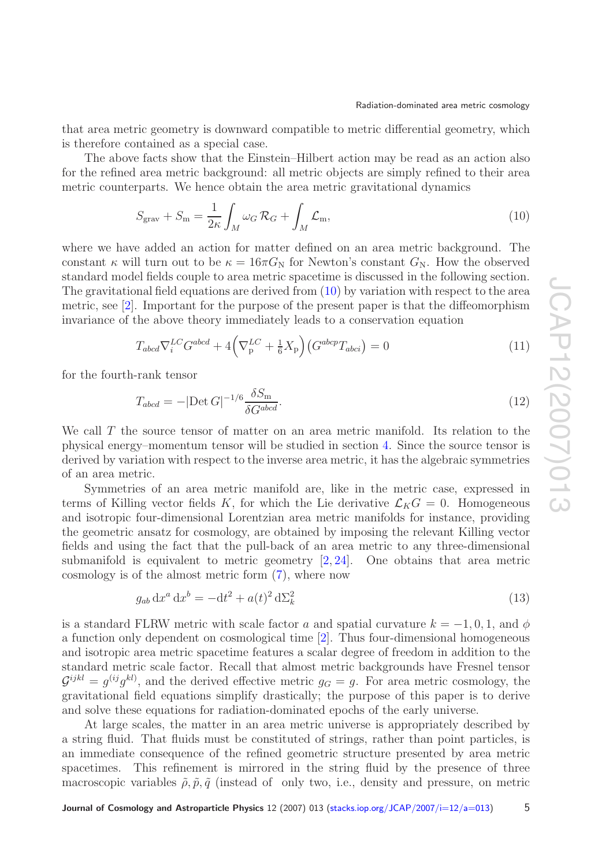that area metric geometry is downward compatible to metric differential geometry, which is therefore contained as a special case.

The above facts show that the Einstein–Hilbert action may be read as an action also for the refined area metric background: all metric objects are simply refined to their area metric counterparts. We hence obtain the area metric gravitational dynamics

<span id="page-4-0"></span>
$$
S_{\text{grav}} + S_{\text{m}} = \frac{1}{2\kappa} \int_M \omega_G \mathcal{R}_G + \int_M \mathcal{L}_{\text{m}},\tag{10}
$$

where we have added an action for matter defined on an area metric background. The constant  $\kappa$  will turn out to be  $\kappa = 16\pi G_N$  for Newton's constant  $G_N$ . How the observed standard model fields couple to area metric spacetime is discussed in the following section. The gravitational field equations are derived from [\(10\)](#page-4-0) by variation with respect to the area metric, see [\[2\]](#page-19-3). Important for the purpose of the present paper is that the diffeomorphism invariance of the above theory immediately leads to a conservation equation

<span id="page-4-1"></span>
$$
T_{abcd}\nabla_i^{LC}G^{abcd} + 4\left(\nabla_{\mathbf{p}}^{LC} + \frac{1}{6}X_{\mathbf{p}}\right)\left(G^{abcp}T_{abci}\right) = 0\tag{11}
$$

for the fourth-rank tensor

<span id="page-4-2"></span>
$$
T_{abcd} = -|\text{Det } G|^{-1/6} \frac{\delta S_{\text{m}}}{\delta G^{abcd}}.
$$
\n(12)

We call T the source tensor of matter on an area metric manifold. Its relation to the physical energy–momentum tensor will be studied in section [4.](#page-10-0) Since the source tensor is derived by variation with respect to the inverse area metric, it has the algebraic symmetries of an area metric.

Symmetries of an area metric manifold are, like in the metric case, expressed in terms of Killing vector fields K, for which the Lie derivative  $\mathcal{L}_KG = 0$ . Homogeneous and isotropic four-dimensional Lorentzian area metric manifolds for instance, providing the geometric ansatz for cosmology, are obtained by imposing the relevant Killing vector fields and using the fact that the pull-back of an area metric to any three-dimensional submanifold is equivalent to metric geometry [\[2,](#page-19-3) [24\]](#page-19-13). One obtains that area metric cosmology is of the almost metric form [\(7\)](#page-3-0), where now

$$
g_{ab} dx^a dx^b = -dt^2 + a(t)^2 d\Sigma_k^2
$$
\n(13)

is a standard FLRW metric with scale factor a and spatial curvature  $k = -1, 0, 1$ , and  $\phi$ a function only dependent on cosmological time [\[2\]](#page-19-3). Thus four-dimensional homogeneous and isotropic area metric spacetime features a scalar degree of freedom in addition to the standard metric scale factor. Recall that almost metric backgrounds have Fresnel tensor  $\mathcal{G}^{ijkl} = g^{(ij}g^{kl)}$ , and the derived effective metric  $g_G = g$ . For area metric cosmology, the gravitational field equations simplify drastically; the purpose of this paper is to derive and solve these equations for radiation-dominated epochs of the early universe.

At large scales, the matter in an area metric universe is appropriately described by a string fluid. That fluids must be constituted of strings, rather than point particles, is an immediate consequence of the refined geometric structure presented by area metric spacetimes. This refinement is mirrored in the string fluid by the presence of three macroscopic variables  $\tilde{\rho}, \tilde{p}, \tilde{q}$  (instead of only two, i.e., density and pressure, on metric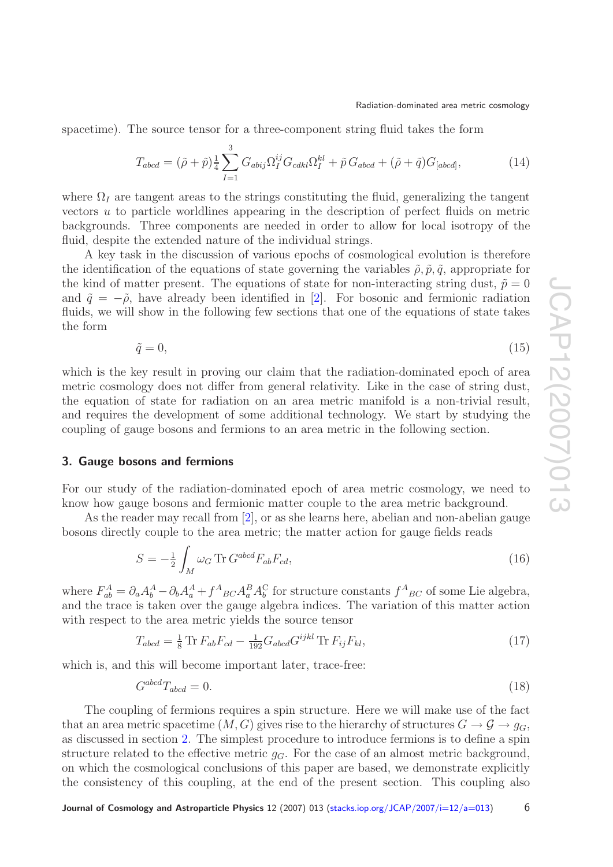spacetime). The source tensor for a three-component string fluid takes the form

<span id="page-5-4"></span>
$$
T_{abcd} = (\tilde{\rho} + \tilde{p})\frac{1}{4} \sum_{I=1}^{3} G_{abij} \Omega_I^{ij} G_{cdkl} \Omega_I^{kl} + \tilde{p} G_{abcd} + (\tilde{\rho} + \tilde{q}) G_{[abcd]},\tag{14}
$$

where  $\Omega_I$  are tangent areas to the strings constituting the fluid, generalizing the tangent vectors u to particle worldlines appearing in the description of perfect fluids on metric backgrounds. Three components are needed in order to allow for local isotropy of the fluid, despite the extended nature of the individual strings.

A key task in the discussion of various epochs of cosmological evolution is therefore the identification of the equations of state governing the variables  $\tilde{\rho}, \tilde{p}, \tilde{q}$ , appropriate for the kind of matter present. The equations of state for non-interacting string dust,  $\tilde{p} = 0$ and  $\tilde{q} = -\tilde{\rho}$ , have already been identified in [\[2\]](#page-19-3). For bosonic and fermionic radiation fluids, we will show in the following few sections that one of the equations of state takes the form

$$
\tilde{q} = 0,\tag{15}
$$

which is the key result in proving our claim that the radiation-dominated epoch of area metric cosmology does not differ from general relativity. Like in the case of string dust, the equation of state for radiation on an area metric manifold is a non-trivial result, and requires the development of some additional technology. We start by studying the coupling of gauge bosons and fermions to an area metric in the following section.

#### <span id="page-5-0"></span>**3. Gauge bosons and fermions**

For our study of the radiation-dominated epoch of area metric cosmology, we need to know how gauge bosons and fermionic matter couple to the area metric background.

As the reader may recall from [\[2\]](#page-19-3), or as she learns here, abelian and non-abelian gauge bosons directly couple to the area metric; the matter action for gauge fields reads

<span id="page-5-1"></span>
$$
S = -\frac{1}{2} \int_{M} \omega_G \operatorname{Tr} G^{abcd} F_{ab} F_{cd}, \tag{16}
$$

where  $F_{ab}^A = \partial_a A_b^A - \partial_b A_a^A + f^A{}_{BC} A_a^B A_b^C$  for structure constants  $f^A{}_{BC}$  of some Lie algebra, and the trace is taken over the gauge algebra indices. The variation of this matter action with respect to the area metric yields the source tensor

<span id="page-5-2"></span>
$$
T_{abcd} = \frac{1}{8} \text{Tr} \, F_{ab} F_{cd} - \frac{1}{192} G_{abcd} G^{ijkl} \text{Tr} \, F_{ij} F_{kl},\tag{17}
$$

which is, and this will become important later, trace-free:

<span id="page-5-3"></span>
$$
G^{abcd}T_{abcd} = 0.\t\t(18)
$$

The coupling of fermions requires a spin structure. Here we will make use of the fact that an area metric spacetime  $(M, G)$  gives rise to the hierarchy of structures  $G \to \mathcal{G} \to g_G$ , as discussed in section [2.](#page-2-0) The simplest procedure to introduce fermions is to define a spin structure related to the effective metric  $g_G$ . For the case of an almost metric background, on which the cosmological conclusions of this paper are based, we demonstrate explicitly the consistency of this coupling, at the end of the present section. This coupling also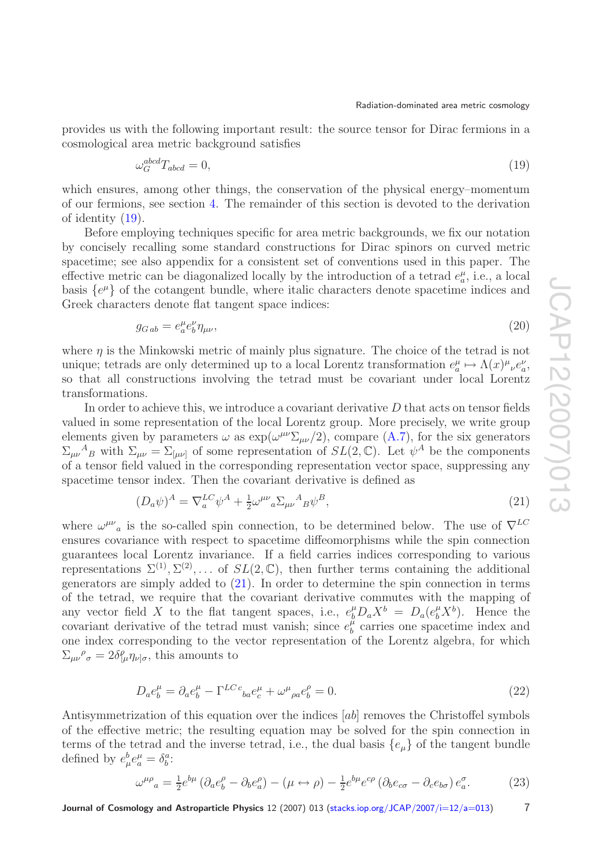provides us with the following important result: the source tensor for Dirac fermions in a cosmological area metric background satisfies

<span id="page-6-0"></span>
$$
\omega_G^{abcd} T_{abcd} = 0,\t\t(19)
$$

which ensures, among other things, the conservation of the physical energy–momentum of our fermions, see section [4.](#page-10-0) The remainder of this section is devoted to the derivation of identity [\(19\)](#page-6-0).

Before employing techniques specific for area metric backgrounds, we fix our notation by concisely recalling some standard constructions for Dirac spinors on curved metric spacetime; see also appendix for a consistent set of conventions used in this paper. The effective metric can be diagonalized locally by the introduction of a tetrad  $e_a^{\mu}$ , i.e., a local basis  $\{e^{\mu}\}\$  of the cotangent bundle, where italic characters denote spacetime indices and Greek characters denote flat tangent space indices:

<span id="page-6-2"></span>
$$
g_{Gab} = e_a^{\mu} e_b^{\nu} \eta_{\mu\nu},\tag{20}
$$

where  $\eta$  is the Minkowski metric of mainly plus signature. The choice of the tetrad is not unique; tetrads are only determined up to a local Lorentz transformation  $e_a^{\mu} \mapsto \Lambda(x)^{\mu}{}_{\nu}e_a^{\nu}$ , so that all constructions involving the tetrad must be covariant under local Lorentz transformations.

In order to achieve this, we introduce a covariant derivative  $D$  that acts on tensor fields valued in some representation of the local Lorentz group. More precisely, we write group elements given by parameters  $\omega$  as  $\exp(\omega^{\mu\nu}\Sigma_{\mu\nu}/2)$ , compare [\(A.7\)](#page-18-0), for the six generators  $\Sigma_{\mu\nu}{}^A{}_B$  with  $\Sigma_{\mu\nu} = \Sigma_{[\mu\nu]}$  of some representation of  $SL(2,\mathbb{C})$ . Let  $\psi^A$  be the components of a tensor field valued in the corresponding representation vector space, suppressing any spacetime tensor index. Then the covariant derivative is defined as

<span id="page-6-1"></span>
$$
(D_a \psi)^A = \nabla_a^{LC} \psi^A + \frac{1}{2} \omega^{\mu\nu}{}_a \Sigma_{\mu\nu}{}^A{}_B \psi^B,\tag{21}
$$

where  $\omega^{\mu\nu}{}_{a}$  is the so-called spin connection, to be determined below. The use of  $\nabla^{LC}$ ensures covariance with respect to spacetime diffeomorphisms while the spin connection guarantees local Lorentz invariance. If a field carries indices corresponding to various representations  $\Sigma^{(1)}, \Sigma^{(2)}, \ldots$  of  $SL(2, \mathbb{C})$ , then further terms containing the additional generators are simply added to  $(21)$ . In order to determine the spin connection in terms of the tetrad, we require that the covariant derivative commutes with the mapping of any vector field X to the flat tangent spaces, i.e.,  $e^{\mu}_b D_a X^b = D_a (e^{\mu}_b X^b)$ . Hence the covariant derivative of the tetrad must vanish; since  $e_b^{\mu}$  carries one spacetime index and one index corresponding to the vector representation of the Lorentz algebra, for which  $\Sigma_{\mu\nu}{}^{\rho}{}_{\sigma} = 2 \delta \rho_{\mu} \eta_{\nu|\sigma}$ , this amounts to

$$
D_a e_b^{\mu} = \partial_a e_b^{\mu} - \Gamma^{LC}{}_{ba} e_c^{\mu} + \omega^{\mu}{}_{\rho a} e_b^{\rho} = 0. \tag{22}
$$

Antisymmetrization of this equation over the indices [ab] removes the Christoffel symbols of the effective metric; the resulting equation may be solved for the spin connection in terms of the tetrad and the inverse tetrad, i.e., the dual basis  $\{e_{\mu}\}$  of the tangent bundle defined by  $e^b_\mu e^\mu_a = \delta^a_b$ :

<span id="page-6-3"></span>
$$
\omega^{\mu\rho}{}_{a} = \frac{1}{2} e^{b\mu} \left( \partial_{a} e^{\rho}_{b} - \partial_{b} e^{\rho}_{a} \right) - \left( \mu \leftrightarrow \rho \right) - \frac{1}{2} e^{b\mu} e^{c\rho} \left( \partial_{b} e_{c\sigma} - \partial_{c} e_{b\sigma} \right) e^{\sigma}_{a}.
$$
 (23)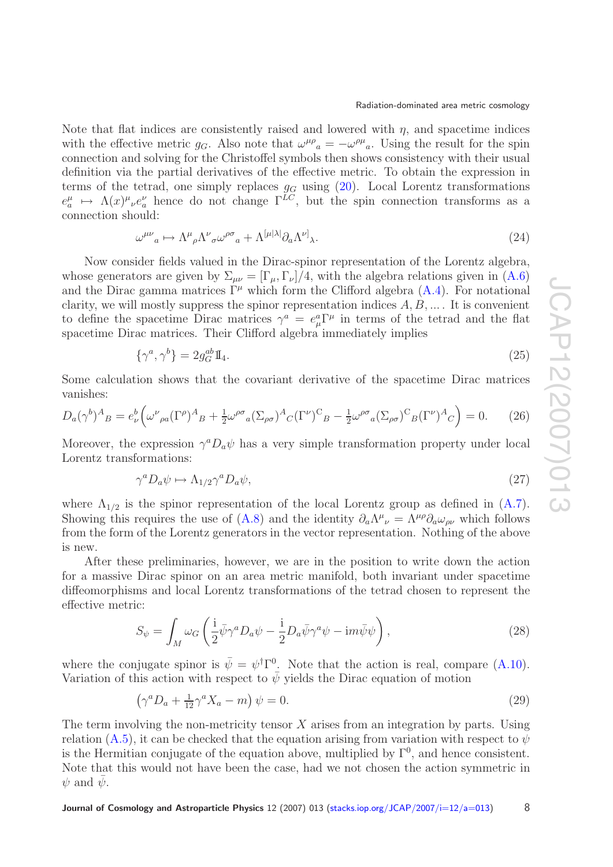Note that flat indices are consistently raised and lowered with  $\eta$ , and spacetime indices with the effective metric  $g_G$ . Also note that  $\omega^{\mu\rho}{}_{a} = -\omega^{\rho\mu}{}_{a}$ . Using the result for the spin connection and solving for the Christoffel symbols then shows consistency with their usual definition via the partial derivatives of the effective metric. To obtain the expression in terms of the tetrad, one simply replaces  $g_G$  using  $(20)$ . Local Lorentz transformations  $e_a^{\mu} \mapsto \Lambda(x)^{\mu}{}_{\nu}e_a^{\nu}$  hence do not change  $\Gamma^{LC}$ , but the spin connection transforms as a connection should:

$$
\omega^{\mu\nu}{}_{a} \mapsto \Lambda^{\mu}{}_{\rho} \Lambda^{\nu}{}_{\sigma} \omega^{\rho\sigma}{}_{a} + \Lambda^{[\mu|\lambda|} \partial_{a} \Lambda^{\nu]}{}_{\lambda}.\tag{24}
$$

Now consider fields valued in the Dirac-spinor representation of the Lorentz algebra, whose generators are given by  $\Sigma_{\mu\nu} = [\Gamma_{\mu}, \Gamma_{\nu}]/4$ , with the algebra relations given in [\(A.6\)](#page-18-1) and the Dirac gamma matrices  $\Gamma^{\mu}$  which form the Clifford algebra [\(A.4\)](#page-18-2). For notational clarity, we will mostly suppress the spinor representation indices  $A, B, \ldots$ . It is convenient to define the spacetime Dirac matrices  $\gamma^a = e^a_\mu \Gamma^\mu$  in terms of the tetrad and the flat spacetime Dirac matrices. Their Clifford algebra immediately implies

$$
\{\gamma^a, \gamma^b\} = 2g_G^{ab}\mathbb{I}_4. \tag{25}
$$

Some calculation shows that the covariant derivative of the spacetime Dirac matrices vanishes:

$$
D_a(\gamma^b)^A{}_B = e^b_\nu \Big(\omega^\nu{}_{\rho a} (\Gamma^\rho)^A{}_B + \frac{1}{2} \omega^{\rho \sigma}{}_a (\Sigma_{\rho \sigma})^A{}_C (\Gamma^\nu)^C{}_B - \frac{1}{2} \omega^{\rho \sigma}{}_a (\Sigma_{\rho \sigma})^C{}_B (\Gamma^\nu)^A{}_C \Big) = 0. \tag{26}
$$

Moreover, the expression  $\gamma^a D_a \psi$  has a very simple transformation property under local Lorentz transformations:

$$
\gamma^a D_a \psi \mapsto \Lambda_{1/2} \gamma^a D_a \psi,\tag{27}
$$

where  $\Lambda_{1/2}$  is the spinor representation of the local Lorentz group as defined in  $(A.7)$ . Showing this requires the use of [\(A.8\)](#page-18-3) and the identity  $\partial_a \Lambda^\mu{}_\nu = \Lambda^{\mu\rho} \partial_a \omega_{\rho\nu}$  which follows from the form of the Lorentz generators in the vector representation. Nothing of the above is new.

After these preliminaries, however, we are in the position to write down the action for a massive Dirac spinor on an area metric manifold, both invariant under spacetime diffeomorphisms and local Lorentz transformations of the tetrad chosen to represent the effective metric:

$$
S_{\psi} = \int_{M} \omega_G \left( \frac{\mathrm{i}}{2} \bar{\psi} \gamma^a D_a \psi - \frac{\mathrm{i}}{2} D_a \bar{\psi} \gamma^a \psi - \mathrm{i} m \bar{\psi} \psi \right), \tag{28}
$$

<span id="page-7-1"></span>where the conjugate spinor is  $\bar{\psi} = \psi^{\dagger} \Gamma^{0}$ . Note that the action is real, compare [\(A.10\)](#page-18-4). Variation of this action with respect to  $\bar{\psi}$  yields the Dirac equation of motion

<span id="page-7-0"></span>
$$
\left(\gamma^a D_a + \frac{1}{12}\gamma^a X_a - m\right)\psi = 0. \tag{29}
$$

The term involving the non-metricity tensor  $X$  arises from an integration by parts. Using relation [\(A.5\)](#page-18-5), it can be checked that the equation arising from variation with respect to  $\psi$ is the Hermitian conjugate of the equation above, multiplied by  $\Gamma^0$ , and hence consistent. Note that this would not have been the case, had we not chosen the action symmetric in  $\psi$  and  $\psi$ .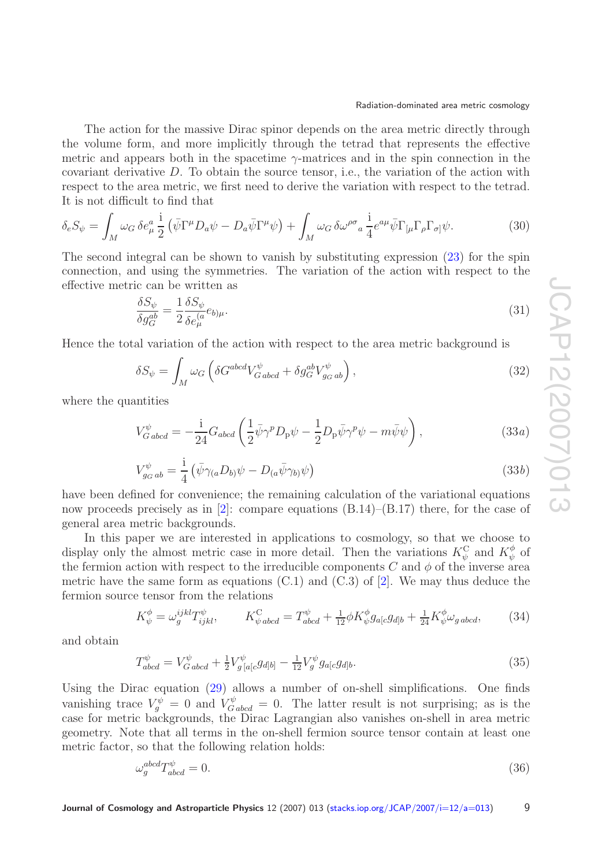The action for the massive Dirac spinor depends on the area metric directly through the volume form, and more implicitly through the tetrad that represents the effective metric and appears both in the spacetime  $\gamma$ -matrices and in the spin connection in the covariant derivative D. To obtain the source tensor, i.e., the variation of the action with respect to the area metric, we first need to derive the variation with respect to the tetrad. It is not difficult to find that

$$
\delta_e S_\psi = \int_M \omega_G \,\delta e^a_\mu \frac{i}{2} \left( \bar{\psi} \Gamma^\mu D_a \psi - D_a \bar{\psi} \Gamma^\mu \psi \right) + \int_M \omega_G \,\delta \omega^{\rho \sigma}{}_a \frac{i}{4} e^{a\mu} \bar{\psi} \Gamma_{[\mu} \Gamma_\rho \Gamma_{\sigma]} \psi. \tag{30}
$$

The second integral can be shown to vanish by substituting expression [\(23\)](#page-6-3) for the spin connection, and using the symmetries. The variation of the action with respect to the effective metric can be written as

$$
\frac{\delta S_{\psi}}{\delta g_{G}^{ab}} = \frac{1}{2} \frac{\delta S_{\psi}}{\delta e_{\mu}^{(a}} e_{b)\mu}.
$$
\n(31)

Hence the total variation of the action with respect to the area metric background is

$$
\delta S_{\psi} = \int_{M} \omega_G \left( \delta G^{abcd} V_{Gabcd}^{\psi} + \delta g_G^{ab} V_{g_G ab}^{\psi} \right), \tag{32}
$$

where the quantities

$$
V_{Gabcd}^{\psi} = -\frac{\mathrm{i}}{24} G_{abcd} \left( \frac{1}{2} \bar{\psi} \gamma^p D_\mathrm{p} \psi - \frac{1}{2} D_\mathrm{p} \bar{\psi} \gamma^p \psi - m \bar{\psi} \psi \right),\tag{33a}
$$

$$
V_{g_G ab}^{\psi} = \frac{\mathrm{i}}{4} \left( \bar{\psi} \gamma_{(a} D_{b)} \psi - D_{(a} \bar{\psi} \gamma_{b)} \psi \right) \tag{33b}
$$

have been defined for convenience; the remaining calculation of the variational equations now proceeds precisely as in [\[2\]](#page-19-3): compare equations  $(B.14)$ – $(B.17)$  there, for the case of general area metric backgrounds.

In this paper we are interested in applications to cosmology, so that we choose to display only the almost metric case in more detail. Then the variations  $K_{\psi}^{\text{C}}$  and  $K_{\psi}^{\phi}$  of the fermion action with respect to the irreducible components C and  $\phi$  of the inverse area metric have the same form as equations  $(C.1)$  and  $(C.3)$  of  $[2]$ . We may thus deduce the fermion source tensor from the relations

$$
K^{\phi}_{\psi} = \omega_g^{ijkl} T^{\psi}_{ijkl}, \qquad K^{\text{C}}_{\psi \text{abcd}} = T^{\psi}_{abcd} + \frac{1}{12} \phi K^{\phi}_{\psi} g_{a[c} g_{d]b} + \frac{1}{24} K^{\phi}_{\psi} \omega_{g \text{abcd}}, \qquad (34)
$$

<span id="page-8-0"></span>and obtain

$$
T_{abcd}^{\psi} = V_{Gabcd}^{\psi} + \frac{1}{2} V_{g[a[c}^{\psi} g_{d]b]} - \frac{1}{12} V_g^{\psi} g_{a[c} g_{d]b}.
$$
\n(35)

Using the Dirac equation [\(29\)](#page-7-0) allows a number of on-shell simplifications. One finds vanishing trace  $V_g^{\psi} = 0$  and  $V_{Gabcd}^{\psi} = 0$ . The latter result is not surprising; as is the case for metric backgrounds, the Dirac Lagrangian also vanishes on-shell in area metric geometry. Note that all terms in the on-shell fermion source tensor contain at least one metric factor, so that the following relation holds:

<span id="page-8-1"></span>
$$
\omega_g^{abcd} T_{abcd}^{\psi} = 0. \tag{36}
$$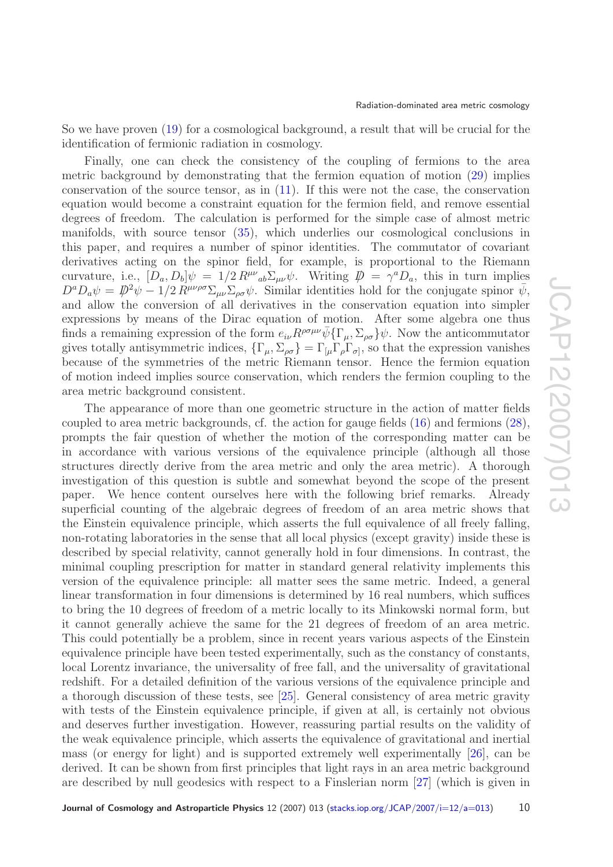So we have proven [\(19\)](#page-6-0) for a cosmological background, a result that will be crucial for the identification of fermionic radiation in cosmology.

Finally, one can check the consistency of the coupling of fermions to the area metric background by demonstrating that the fermion equation of motion [\(29\)](#page-7-0) implies conservation of the source tensor, as in [\(11\)](#page-4-1). If this were not the case, the conservation equation would become a constraint equation for the fermion field, and remove essential degrees of freedom. The calculation is performed for the simple case of almost metric manifolds, with source tensor [\(35\)](#page-8-0), which underlies our cosmological conclusions in this paper, and requires a number of spinor identities. The commutator of covariant derivatives acting on the spinor field, for example, is proportional to the Riemann curvature, i.e.,  $[D_a, D_b] \psi = 1/2 R^{\mu\nu}{}_{ab} \Sigma_{\mu\nu} \psi$ . Writing  $\mathcal{D} = \gamma^a D_a$ , this in turn implies  $D^a D_a \psi = D^2 \psi - 1/2 R^{\mu\nu\rho\sigma} \Sigma_{\mu\nu} \Sigma_{\rho\sigma} \psi$ . Similar identities hold for the conjugate spinor  $\bar{\psi}$ , and allow the conversion of all derivatives in the conservation equation into simpler expressions by means of the Dirac equation of motion. After some algebra one thus finds a remaining expression of the form  $e_{i\nu}R^{\rho\sigma\mu\nu}\bar{\psi}\{\Gamma_{\mu},\Sigma_{\rho\sigma}\}\psi$ . Now the anticommutator gives totally antisymmetric indices,  $\{\Gamma_{\mu}, \Sigma_{\rho\sigma}\} = \Gamma_{\mu} \Gamma_{\rho} \Gamma_{\sigma}$ , so that the expression vanishes because of the symmetries of the metric Riemann tensor. Hence the fermion equation of motion indeed implies source conservation, which renders the fermion coupling to the area metric background consistent.

The appearance of more than one geometric structure in the action of matter fields coupled to area metric backgrounds, cf. the action for gauge fields [\(16\)](#page-5-1) and fermions [\(28\)](#page-7-1), prompts the fair question of whether the motion of the corresponding matter can be in accordance with various versions of the equivalence principle (although all those structures directly derive from the area metric and only the area metric). A thorough investigation of this question is subtle and somewhat beyond the scope of the present paper. We hence content ourselves here with the following brief remarks. Already superficial counting of the algebraic degrees of freedom of an area metric shows that the Einstein equivalence principle, which asserts the full equivalence of all freely falling, non-rotating laboratories in the sense that all local physics (except gravity) inside these is described by special relativity, cannot generally hold in four dimensions. In contrast, the minimal coupling prescription for matter in standard general relativity implements this version of the equivalence principle: all matter sees the same metric. Indeed, a general linear transformation in four dimensions is determined by 16 real numbers, which suffices to bring the 10 degrees of freedom of a metric locally to its Minkowski normal form, but it cannot generally achieve the same for the 21 degrees of freedom of an area metric. This could potentially be a problem, since in recent years various aspects of the Einstein equivalence principle have been tested experimentally, such as the constancy of constants, local Lorentz invariance, the universality of free fall, and the universality of gravitational redshift. For a detailed definition of the various versions of the equivalence principle and a thorough discussion of these tests, see [\[25\]](#page-19-14). General consistency of area metric gravity with tests of the Einstein equivalence principle, if given at all, is certainly not obvious and deserves further investigation. However, reassuring partial results on the validity of the weak equivalence principle, which asserts the equivalence of gravitational and inertial mass (or energy for light) and is supported extremely well experimentally [\[26\]](#page-19-15), can be derived. It can be shown from first principles that light rays in an area metric background are described by null geodesics with respect to a Finslerian norm [\[27\]](#page-19-16) (which is given in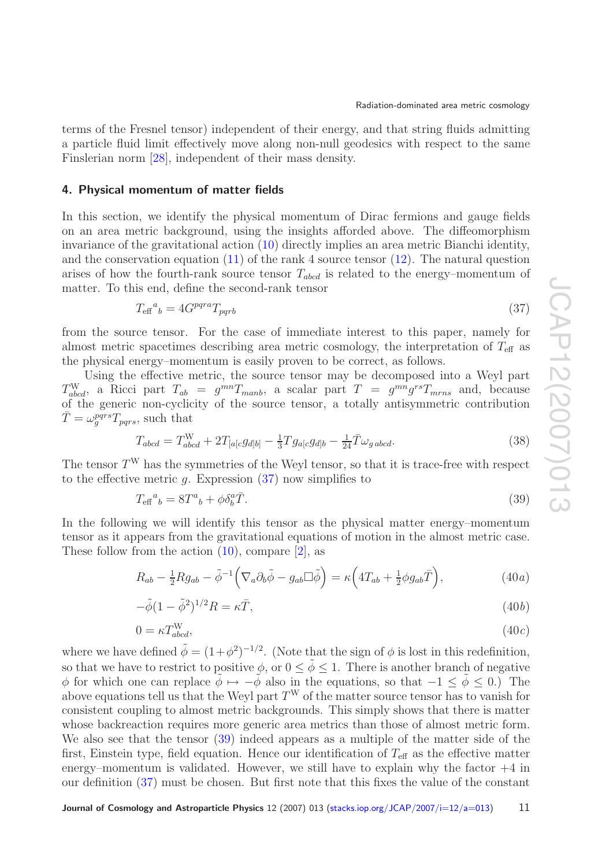terms of the Fresnel tensor) independent of their energy, and that string fluids admitting a particle fluid limit effectively move along non-null geodesics with respect to the same Finslerian norm [\[28\]](#page-19-17), independent of their mass density.

#### <span id="page-10-0"></span>**4. Physical momentum of matter fields**

In this section, we identify the physical momentum of Dirac fermions and gauge fields on an area metric background, using the insights afforded above. The diffeomorphism invariance of the gravitational action [\(10\)](#page-4-0) directly implies an area metric Bianchi identity, and the conservation equation  $(11)$  of the rank 4 source tensor  $(12)$ . The natural question arises of how the fourth-rank source tensor  $T_{abcd}$  is related to the energy–momentum of matter. To this end, define the second-rank tensor

<span id="page-10-1"></span>
$$
T_{\rm eff}{}^{a}{}_{b} = 4G^{pqra}T_{pqrb} \tag{37}
$$

from the source tensor. For the case of immediate interest to this paper, namely for almost metric spacetimes describing area metric cosmology, the interpretation of  $T_{\text{eff}}$  as the physical energy–momentum is easily proven to be correct, as follows.

Using the effective metric, the source tensor may be decomposed into a Weyl part  $T_{abcd}^W$ , a Ricci part  $T_{ab} = g^{mn}T_{manb}$ , a scalar part  $T = g^{mn}g^{rs}T_{mrms}$  and, because of the generic non-cyclicity of the source tensor, a totally antisymmetric contribution  $\overline{T} = \omega_g^{pqrs} T_{pqrs}$ , such that

$$
T_{abcd} = T_{abcd}^{\text{W}} + 2T_{[a[c}g_{d]b]} - \frac{1}{3}Tg_{a[c}g_{d]b} - \frac{1}{24}\bar{T}\omega_{gabcd}.
$$
\n(38)

The tensor  $T^W$  has the symmetries of the Weyl tensor, so that it is trace-free with respect to the effective metric  $g$ . Expression  $(37)$  now simplifies to

<span id="page-10-2"></span>
$$
T_{\text{eff}}{}^{a}{}_{b} = 8T^{a}{}_{b} + \phi \delta^{a}_{b}\bar{T}.\tag{39}
$$

In the following we will identify this tensor as the physical matter energy–momentum tensor as it appears from the gravitational equations of motion in the almost metric case. These follow from the action  $(10)$ , compare  $[2]$ , as

$$
R_{ab} - \frac{1}{2} R g_{ab} - \tilde{\phi}^{-1} \left( \nabla_a \partial_b \tilde{\phi} - g_{ab} \Box \tilde{\phi} \right) = \kappa \left( 4T_{ab} + \frac{1}{2} \phi g_{ab} \bar{T} \right),\tag{40a}
$$

$$
-\tilde{\phi}(1-\tilde{\phi}^2)^{1/2}R = \kappa \bar{T},\tag{40b}
$$

$$
0 = \kappa T_{abcd}^{\mathcal{W}},\tag{40c}
$$

where we have defined  $\tilde{\phi} = (1+\phi^2)^{-1/2}$ . (Note that the sign of  $\phi$  is lost in this redefinition, so that we have to restrict to positive  $\phi$ , or  $0 \le \tilde{\phi} \le 1$ . There is another branch of negative φ for which one can replace  $\phi \mapsto -\tilde{\phi}$  also in the equations, so that  $-1 \leq \tilde{\phi} \leq 0$ .) The above equations tell us that the Weyl part  $T^W$  of the matter source tensor has to vanish for consistent coupling to almost metric backgrounds. This simply shows that there is matter whose backreaction requires more generic area metrics than those of almost metric form. We also see that the tensor [\(39\)](#page-10-2) indeed appears as a multiple of the matter side of the first, Einstein type, field equation. Hence our identification of  $T_{\text{eff}}$  as the effective matter energy–momentum is validated. However, we still have to explain why the factor  $+4$  in our definition [\(37\)](#page-10-1) must be chosen. But first note that this fixes the value of the constant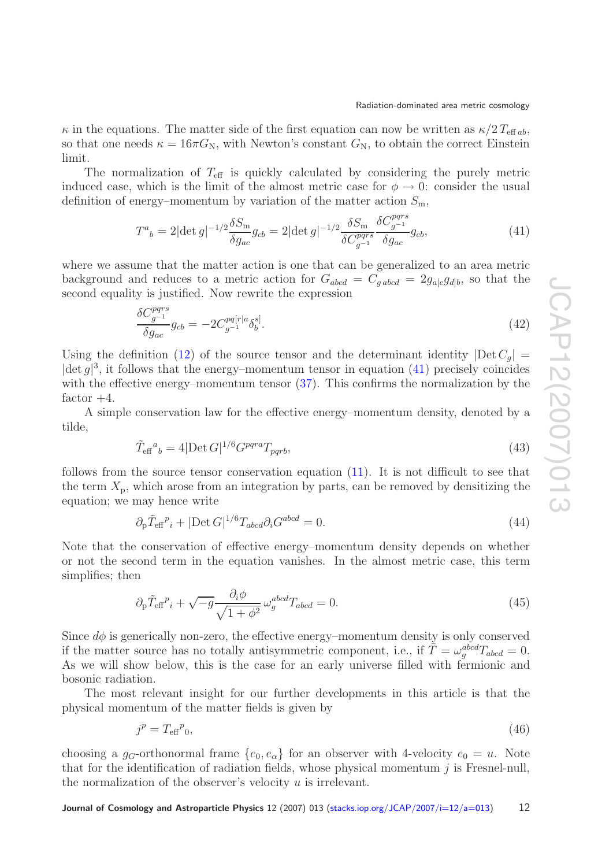$\kappa$  in the equations. The matter side of the first equation can now be written as  $\kappa/2 T_{\text{eff }ab}$ , so that one needs  $\kappa = 16\pi G_N$ , with Newton's constant  $G_N$ , to obtain the correct Einstein limit.

The normalization of  $T_{\text{eff}}$  is quickly calculated by considering the purely metric induced case, which is the limit of the almost metric case for  $\phi \to 0$ : consider the usual definition of energy–momentum by variation of the matter action  $S_m$ ,

<span id="page-11-0"></span>
$$
T^{a}{}_{b} = 2|\det g|^{-1/2}\frac{\delta S_{\rm m}}{\delta g_{ac}}g_{cb} = 2|\det g|^{-1/2}\frac{\delta S_{\rm m}}{\delta C_{g^{-1}}^{pqrs}}\frac{\delta C_{g^{-1}}^{pqrs}}{\delta g_{ac}}g_{cb},\tag{41}
$$

where we assume that the matter action is one that can be generalized to an area metric background and reduces to a metric action for  $G_{abcd} = C_{gabcd} = 2g_{a[c}g_{d]b}$ , so that the second equality is justified. Now rewrite the expression

$$
\frac{\delta C_{g^{-1}}^{pqrs}}{\delta g_{ac}}g_{cb} = -2C_{g^{-1}}^{pq[r|a}\delta_b^{s]}.
$$
\n(42)

Using the definition [\(12\)](#page-4-2) of the source tensor and the determinant identity  $|\text{Det } C_q|$  =  $|\text{det } g|^3$ , it follows that the energy–momentum tensor in equation [\(41\)](#page-11-0) precisely coincides with the effective energy–momentum tensor  $(37)$ . This confirms the normalization by the factor  $+4$ .

A simple conservation law for the effective energy–momentum density, denoted by a tilde,

$$
\tilde{T}_{\text{eff}}^{a}{}_{b} = 4|\text{Det } G|^{1/6} G^{pqra} T_{pqrb},\tag{43}
$$

follows from the source tensor conservation equation  $(11)$ . It is not difficult to see that the term  $X_p$ , which arose from an integration by parts, can be removed by densitizing the equation; we may hence write

$$
\partial_{\mathbf{p}} \tilde{T}_{\text{eff}}{}^p{}_i + |\text{Det } G|^{1/6} T_{abcd} \partial_i G^{abcd} = 0. \tag{44}
$$

<span id="page-11-2"></span>Note that the conservation of effective energy–momentum density depends on whether or not the second term in the equation vanishes. In the almost metric case, this term simplifies; then

$$
\partial_{\mathbf{p}} \tilde{T}_{\text{eff}}{}^{p}{}_{i} + \sqrt{-g} \frac{\partial_{i} \phi}{\sqrt{1 + \phi^{2}}} \omega_{g}^{abcd} T_{abcd} = 0. \tag{45}
$$

Since  $d\phi$  is generically non-zero, the effective energy–momentum density is only conserved if the matter source has no totally antisymmetric component, i.e., if  $\tilde{T} = \omega_g^{abcd} T_{abcd} = 0$ . As we will show below, this is the case for an early universe filled with fermionic and bosonic radiation.

The most relevant insight for our further developments in this article is that the physical momentum of the matter fields is given by

<span id="page-11-1"></span>
$$
j^p = T_{\text{eff}}{}^p{}_0,\tag{46}
$$

choosing a  $g_G$ -orthonormal frame  $\{e_0, e_\alpha\}$  for an observer with 4-velocity  $e_0 = u$ . Note that for the identification of radiation fields, whose physical momentum  $j$  is Fresnel-null, the normalization of the observer's velocity  $u$  is irrelevant.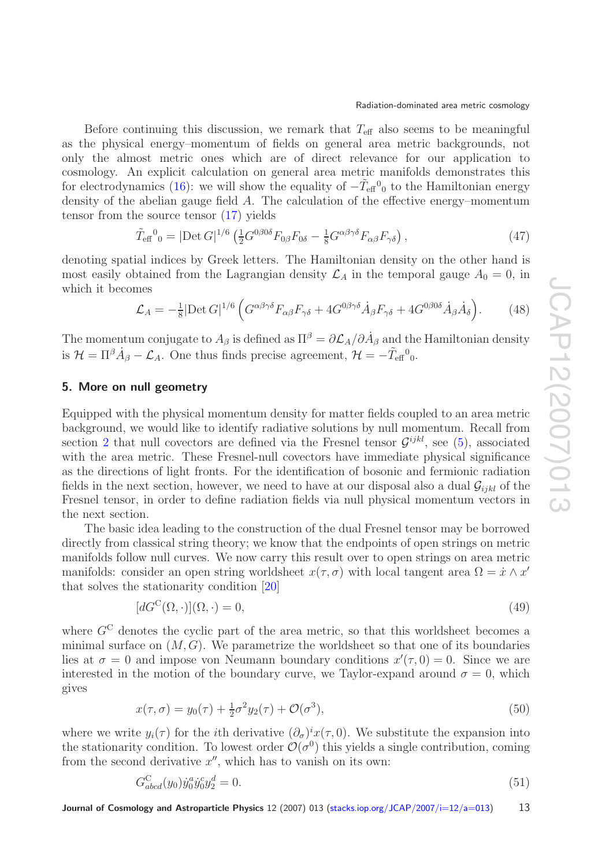Before continuing this discussion, we remark that  $T_{\text{eff}}$  also seems to be meaningful as the physical energy–momentum of fields on general area metric backgrounds, not only the almost metric ones which are of direct relevance for our application to cosmology. An explicit calculation on general area metric manifolds demonstrates this for electrodynamics [\(16\)](#page-5-1): we will show the equality of  $-\tilde{T}_{\text{eff}}{}^0{}_0$  to the Hamiltonian energy density of the abelian gauge field A. The calculation of the effective energy–momentum tensor from the source tensor [\(17\)](#page-5-2) yields

$$
\tilde{T}_{\text{eff}}{}^{0}{}_{0} = |\text{Det } G|^{1/6} \left( \frac{1}{2} G^{0/60} F_{0/6} F_{0/6} - \frac{1}{8} G^{\alpha\beta\gamma\delta} F_{\alpha\beta} F_{\gamma\delta} \right),\tag{47}
$$

denoting spatial indices by Greek letters. The Hamiltonian density on the other hand is most easily obtained from the Lagrangian density  $\mathcal{L}_A$  in the temporal gauge  $A_0 = 0$ , in which it becomes

$$
\mathcal{L}_A = -\frac{1}{8} |\text{Det } G|^{1/6} \left( G^{\alpha \beta \gamma \delta} F_{\alpha \beta} F_{\gamma \delta} + 4 G^{0 \beta \gamma \delta} \dot{A}_{\beta} F_{\gamma \delta} + 4 G^{0 \beta 0 \delta} \dot{A}_{\beta} \dot{A}_{\delta} \right). \tag{48}
$$

The momentum conjugate to  $A_{\beta}$  is defined as  $\Pi^{\beta} = \partial \mathcal{L}_A/\partial \dot{A}_{\beta}$  and the Hamiltonian density is  $\mathcal{H} = \Pi^{\beta} \dot{A}_{\beta} - \mathcal{L}_{A}$ . One thus finds precise agreement,  $\mathcal{H} = -\tilde{T}_{\text{eff}}{}^{0}$ .

#### <span id="page-12-0"></span>**5. More on null geometry**

Equipped with the physical momentum density for matter fields coupled to an area metric background, we would like to identify radiative solutions by null momentum. Recall from section [2](#page-2-0) that null covectors are defined via the Fresnel tensor  $\mathcal{G}^{ijkl}$ , see [\(5\)](#page-3-1), associated with the area metric. These Fresnel-null covectors have immediate physical significance as the directions of light fronts. For the identification of bosonic and fermionic radiation fields in the next section, however, we need to have at our disposal also a dual  $\mathcal{G}_{ijkl}$  of the Fresnel tensor, in order to define radiation fields via null physical momentum vectors in the next section.

The basic idea leading to the construction of the dual Fresnel tensor may be borrowed directly from classical string theory; we know that the endpoints of open strings on metric manifolds follow null curves. We now carry this result over to open strings on area metric manifolds: consider an open string worldsheet  $x(\tau,\sigma)$  with local tangent area  $\Omega = \dot{x} \wedge x'$ that solves the stationarity condition [\[20\]](#page-19-10)

$$
[dG^{\mathcal{C}}(\Omega,\cdot)](\Omega,\cdot) = 0,\tag{49}
$$

where  $G^C$  denotes the cyclic part of the area metric, so that this worldsheet becomes a minimal surface on  $(M, G)$ . We parametrize the worldsheet so that one of its boundaries lies at  $\sigma = 0$  and impose von Neumann boundary conditions  $x'(\tau, 0) = 0$ . Since we are interested in the motion of the boundary curve, we Taylor-expand around  $\sigma = 0$ , which gives

$$
x(\tau,\sigma) = y_0(\tau) + \frac{1}{2}\sigma^2 y_2(\tau) + \mathcal{O}(\sigma^3),\tag{50}
$$

where we write  $y_i(\tau)$  for the *i*th derivative  $(\partial_{\sigma})^i x(\tau,0)$ . We substitute the expansion into the stationarity condition. To lowest order  $\mathcal{O}(\sigma^0)$  this yields a single contribution, coming from the second derivative  $x''$ , which has to vanish on its own:

$$
G_{abcd}^C(y_0)\dot{y}_0^a\dot{y}_0^c y_2^d = 0.
$$
\n(51)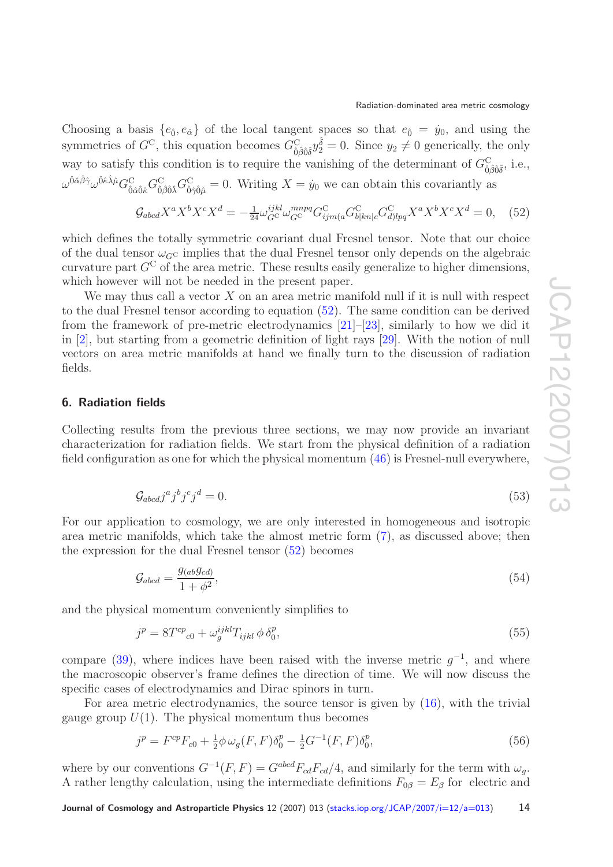Choosing a basis  $\{e_{\hat{0}}, e_{\hat{\alpha}}\}$  of the local tangent spaces so that  $e_{\hat{0}} = \dot{y}_0$ , and using the symmetries of  $G^C$ , this equation becomes  $G^C_{\hat{0}\hat{\beta}\hat{0}\hat{\delta}}y_2^{\hat{\delta}} = 0$ . Since  $y_2 \neq 0$  generically, the only way to satisfy this condition is to require the vanishing of the determinant of  $G_{\hat{0}\hat{\beta}\hat{0}\hat{\delta}}^{\circ}$ , i.e.,  $\omega^{\hat{0}\hat{\alpha}\hat{\beta}\hat{\gamma}}\omega^{\hat{0}\hat{\kappa}\hat{\lambda}\hat{\mu}}G_{\hat{0}\hat{\beta}\hat{0}\hat{\lambda}}^{\text{C}}G_{\hat{0}\hat{\gamma}\hat{0}\hat{\mu}}^{\text{C}}=0.$  Writing  $X=\dot{y}_0$  we can obtain this covariantly as

<span id="page-13-1"></span>
$$
\mathcal{G}_{abcd}X^a X^b X^c X^d = -\frac{1}{24} \omega_{G^C}^{ijkl} \omega_{G^C}^{mnpq} G^C_{ijm(a} G^C_{b|kn|c} G^C_{d)lpq} X^a X^b X^c X^d = 0, \quad (52)
$$

which defines the totally symmetric covariant dual Fresnel tensor. Note that our choice of the dual tensor  $\omega_{G}$  implies that the dual Fresnel tensor only depends on the algebraic curvature part  $G^C$  of the area metric. These results easily generalize to higher dimensions, which however will not be needed in the present paper.

We may thus call a vector  $X$  on an area metric manifold null if it is null with respect to the dual Fresnel tensor according to equation [\(52\)](#page-13-1). The same condition can be derived from the framework of pre-metric electrodynamics [\[21\]](#page-19-11)–[\[23\]](#page-19-18), similarly to how we did it in [\[2\]](#page-19-3), but starting from a geometric definition of light rays [\[29\]](#page-19-19). With the notion of null vectors on area metric manifolds at hand we finally turn to the discussion of radiation fields.

#### <span id="page-13-0"></span>**6. Radiation fields**

Collecting results from the previous three sections, we may now provide an invariant characterization for radiation fields. We start from the physical definition of a radiation field configuration as one for which the physical momentum [\(46\)](#page-11-1) is Fresnel-null everywhere,

$$
\mathcal{G}_{abcd}j^a j^b j^c j^d = 0. \tag{53}
$$

For our application to cosmology, we are only interested in homogeneous and isotropic area metric manifolds, which take the almost metric form [\(7\)](#page-3-0), as discussed above; then the expression for the dual Fresnel tensor [\(52\)](#page-13-1) becomes

$$
\mathcal{G}_{abcd} = \frac{g_{(ab}g_{cd)}}{1 + \phi^2},\tag{54}
$$

and the physical momentum conveniently simplifies to

$$
j^p = 8T^{cp}_{c0} + \omega_g^{ijkl} T_{ijkl} \phi \, \delta_0^p,\tag{55}
$$

compare [\(39\)](#page-10-2), where indices have been raised with the inverse metric  $q^{-1}$ , and where the macroscopic observer's frame defines the direction of time. We will now discuss the specific cases of electrodynamics and Dirac spinors in turn.

For area metric electrodynamics, the source tensor is given by [\(16\)](#page-5-1), with the trivial gauge group  $U(1)$ . The physical momentum thus becomes

$$
j^{p} = F^{cp}F_{c0} + \frac{1}{2}\phi \omega_{g}(F, F)\delta_{0}^{p} - \frac{1}{2}G^{-1}(F, F)\delta_{0}^{p},
$$
\n(56)

where by our conventions  $G^{-1}(F, F) = G^{abcd}F_{cd}F_{cd}/4$ , and similarly for the term with  $\omega_g$ . A rather lengthy calculation, using the intermediate definitions  $F_{0\beta} = E_{\beta}$  for electric and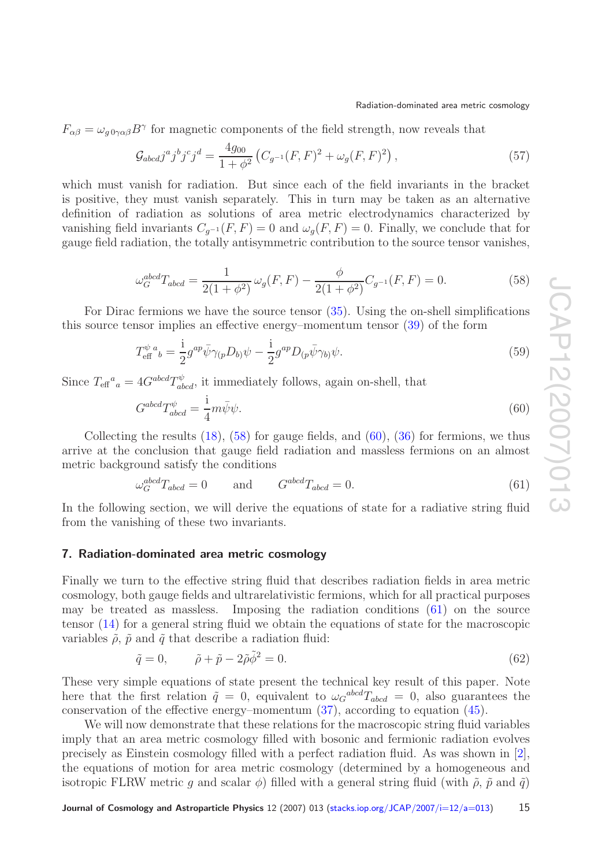$F_{\alpha\beta} = \omega_{g0\gamma\alpha\beta}B^{\gamma}$  for magnetic components of the field strength, now reveals that

$$
\mathcal{G}_{abcd}j^a j^b j^c j^d = \frac{4g_{00}}{1 + \phi^2} \left( C_{g^{-1}}(F, F)^2 + \omega_g(F, F)^2 \right),\tag{57}
$$

which must vanish for radiation. But since each of the field invariants in the bracket is positive, they must vanish separately. This in turn may be taken as an alternative definition of radiation as solutions of area metric electrodynamics characterized by vanishing field invariants  $C_{q^{-1}}(F,F) = 0$  and  $\omega_q(F,F) = 0$ . Finally, we conclude that for gauge field radiation, the totally antisymmetric contribution to the source tensor vanishes,

$$
\omega_G^{abcd}T_{abcd} = \frac{1}{2(1+\phi^2)}\,\omega_g(F,F) - \frac{\phi}{2(1+\phi^2)}C_{g^{-1}}(F,F) = 0.
$$
\n(58)

<span id="page-14-1"></span>For Dirac fermions we have the source tensor [\(35\)](#page-8-0). Using the on-shell simplifications this source tensor implies an effective energy–momentum tensor [\(39\)](#page-10-2) of the form

$$
T_{\text{eff}}^{\psi}{}_{b} = \frac{i}{2} g^{ap} \bar{\psi} \gamma_{(p} D_{b)} \psi - \frac{i}{2} g^{ap} D_{(p} \bar{\psi} \gamma_{b)} \psi.
$$
\n
$$
(59)
$$

Since  $T_{\text{eff}}^a{}_{a} = 4G^{abcd}T^{\psi}_{abcd}$ , it immediately follows, again on-shell, that

<span id="page-14-2"></span>
$$
G^{abcd}T^{\psi}_{abcd} = \frac{1}{4}m\bar{\psi}\psi.
$$
\n(60)

Collecting the results  $(18)$ ,  $(58)$  for gauge fields, and  $(60)$ ,  $(36)$  for fermions, we thus arrive at the conclusion that gauge field radiation and massless fermions on an almost metric background satisfy the conditions

<span id="page-14-3"></span>
$$
\omega_G^{abcd} T_{abcd} = 0 \quad \text{and} \quad G^{abcd} T_{abcd} = 0. \tag{61}
$$

In the following section, we will derive the equations of state for a radiative string fluid from the vanishing of these two invariants.

#### <span id="page-14-0"></span>**7. Radiation-dominated area metric cosmology**

Finally we turn to the effective string fluid that describes radiation fields in area metric cosmology, both gauge fields and ultrarelativistic fermions, which for all practical purposes may be treated as massless. Imposing the radiation conditions [\(61\)](#page-14-3) on the source tensor [\(14\)](#page-5-4) for a general string fluid we obtain the equations of state for the macroscopic variables  $\tilde{\rho}$ ,  $\tilde{p}$  and  $\tilde{q}$  that describe a radiation fluid:

<span id="page-14-4"></span>
$$
\tilde{q} = 0, \qquad \tilde{\rho} + \tilde{p} - 2\tilde{\rho}\tilde{\phi}^2 = 0. \tag{62}
$$

These very simple equations of state present the technical key result of this paper. Note here that the first relation  $\tilde{q} = 0$ , equivalent to  $\omega_G^{abcd}T_{abcd} = 0$ , also guarantees the conservation of the effective energy–momentum [\(37\)](#page-10-1), according to equation [\(45\)](#page-11-2).

We will now demonstrate that these relations for the macroscopic string fluid variables imply that an area metric cosmology filled with bosonic and fermionic radiation evolves precisely as Einstein cosmology filled with a perfect radiation fluid. As was shown in [\[2\]](#page-19-3), the equations of motion for area metric cosmology (determined by a homogeneous and isotropic FLRW metric g and scalar  $\phi$ ) filled with a general string fluid (with  $\tilde{\rho}$ ,  $\tilde{p}$  and  $\tilde{q}$ )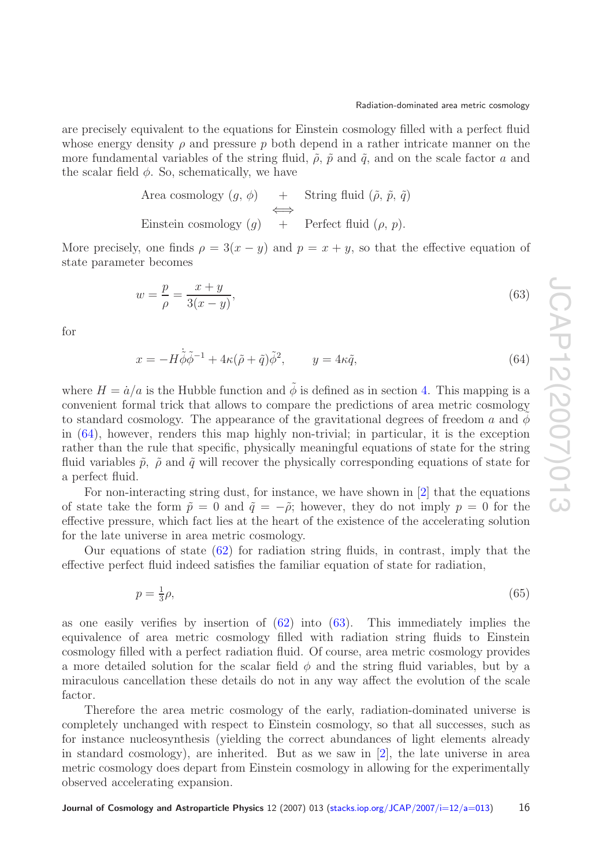are precisely equivalent to the equations for Einstein cosmology filled with a perfect fluid whose energy density  $\rho$  and pressure p both depend in a rather intricate manner on the more fundamental variables of the string fluid,  $\tilde{\rho}$ ,  $\tilde{p}$  and  $\tilde{q}$ , and on the scale factor a and the scalar field  $\phi$ . So, schematically, we have

> Area cosmology  $(g, \phi)$  + String fluid  $(\tilde{\rho}, \tilde{p}, \tilde{q})$ ⇐⇒ Einstein cosmology  $(q)$  + Perfect fluid  $(\rho, p)$ .

More precisely, one finds  $\rho = 3(x - y)$  and  $p = x + y$ , so that the effective equation of state parameter becomes

$$
w = \frac{p}{\rho} = \frac{x+y}{3(x-y)},\tag{63}
$$

<span id="page-15-0"></span>for

$$
x = -H\dot{\tilde{\phi}}\tilde{\phi}^{-1} + 4\kappa(\tilde{\rho} + \tilde{q})\tilde{\phi}^2, \qquad y = 4\kappa\tilde{q},\tag{64}
$$

where  $H = \dot{a}/a$  is the Hubble function and  $\ddot{\phi}$  is defined as in section [4.](#page-10-0) This mapping is a convenient formal trick that allows to compare the predictions of area metric cosmology to standard cosmology. The appearance of the gravitational degrees of freedom a and  $\phi$ in [\(64\)](#page-15-0), however, renders this map highly non-trivial; in particular, it is the exception rather than the rule that specific, physically meaningful equations of state for the string fluid variables  $\tilde{p}$ ,  $\tilde{\rho}$  and  $\tilde{q}$  will recover the physically corresponding equations of state for a perfect fluid.

For non-interacting string dust, for instance, we have shown in [\[2\]](#page-19-3) that the equations of state take the form  $\tilde{p} = 0$  and  $\tilde{q} = -\tilde{\rho}$ ; however, they do not imply  $p = 0$  for the effective pressure, which fact lies at the heart of the existence of the accelerating solution for the late universe in area metric cosmology.

Our equations of state  $(62)$  for radiation string fluids, in contrast, imply that the effective perfect fluid indeed satisfies the familiar equation of state for radiation,

> $p=\frac{1}{3}\rho,$  $\frac{1}{3}\rho,$  (65)

as one easily verifies by insertion of  $(62)$  into  $(63)$ . This immediately implies the equivalence of area metric cosmology filled with radiation string fluids to Einstein cosmology filled with a perfect radiation fluid. Of course, area metric cosmology provides a more detailed solution for the scalar field  $\phi$  and the string fluid variables, but by a miraculous cancellation these details do not in any way affect the evolution of the scale factor.

Therefore the area metric cosmology of the early, radiation-dominated universe is completely unchanged with respect to Einstein cosmology, so that all successes, such as for instance nucleosynthesis (yielding the correct abundances of light elements already in standard cosmology), are inherited. But as we saw in  $[2]$ , the late universe in area metric cosmology does depart from Einstein cosmology in allowing for the experimentally observed accelerating expansion.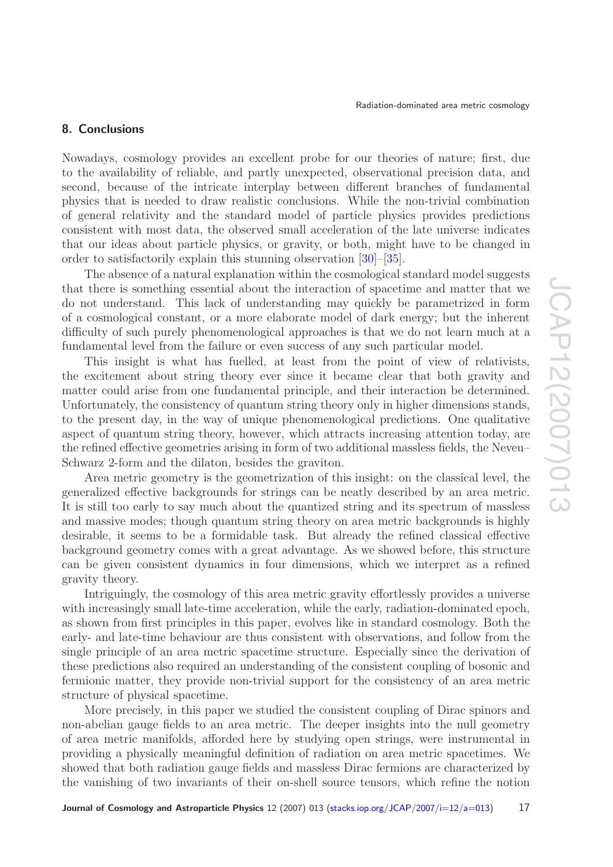### <span id="page-16-0"></span>**8. Conclusions**

Nowadays, cosmology provides an excellent probe for our theories of nature; first, due to the availability of reliable, and partly unexpected, observational precision data, and second, because of the intricate interplay between different branches of fundamental physics that is needed to draw realistic conclusions. While the non-trivial combination of general relativity and the standard model of particle physics provides predictions consistent with most data, the observed small acceleration of the late universe indicates that our ideas about particle physics, or gravity, or both, might have to be changed in order to satisfactorily explain this stunning observation [\[30\]](#page-19-20)–[\[35\]](#page-19-21).

The absence of a natural explanation within the cosmological standard model suggests that there is something essential about the interaction of spacetime and matter that we do not understand. This lack of understanding may quickly be parametrized in form of a cosmological constant, or a more elaborate model of dark energy; but the inherent difficulty of such purely phenomenological approaches is that we do not learn much at a fundamental level from the failure or even success of any such particular model.

This insight is what has fuelled, at least from the point of view of relativists, the excitement about string theory ever since it became clear that both gravity and matter could arise from one fundamental principle, and their interaction be determined. Unfortunately, the consistency of quantum string theory only in higher dimensions stands, to the present day, in the way of unique phenomenological predictions. One qualitative aspect of quantum string theory, however, which attracts increasing attention today, are the refined effective geometries arising in form of two additional massless fields, the Neveu– Schwarz 2-form and the dilaton, besides the graviton.

Area metric geometry is the geometrization of this insight: on the classical level, the generalized effective backgrounds for strings can be neatly described by an area metric. It is still too early to say much about the quantized string and its spectrum of massless and massive modes; though quantum string theory on area metric backgrounds is highly desirable, it seems to be a formidable task. But already the refined classical effective background geometry comes with a great advantage. As we showed before, this structure can be given consistent dynamics in four dimensions, which we interpret as a refined gravity theory.

Intriguingly, the cosmology of this area metric gravity effortlessly provides a universe with increasingly small late-time acceleration, while the early, radiation-dominated epoch, as shown from first principles in this paper, evolves like in standard cosmology. Both the early- and late-time behaviour are thus consistent with observations, and follow from the single principle of an area metric spacetime structure. Especially since the derivation of these predictions also required an understanding of the consistent coupling of bosonic and fermionic matter, they provide non-trivial support for the consistency of an area metric structure of physical spacetime.

More precisely, in this paper we studied the consistent coupling of Dirac spinors and non-abelian gauge fields to an area metric. The deeper insights into the null geometry of area metric manifolds, afforded here by studying open strings, were instrumental in providing a physically meaningful definition of radiation on area metric spacetimes. We showed that both radiation gauge fields and massless Dirac fermions are characterized by the vanishing of two invariants of their on-shell source tensors, which refine the notion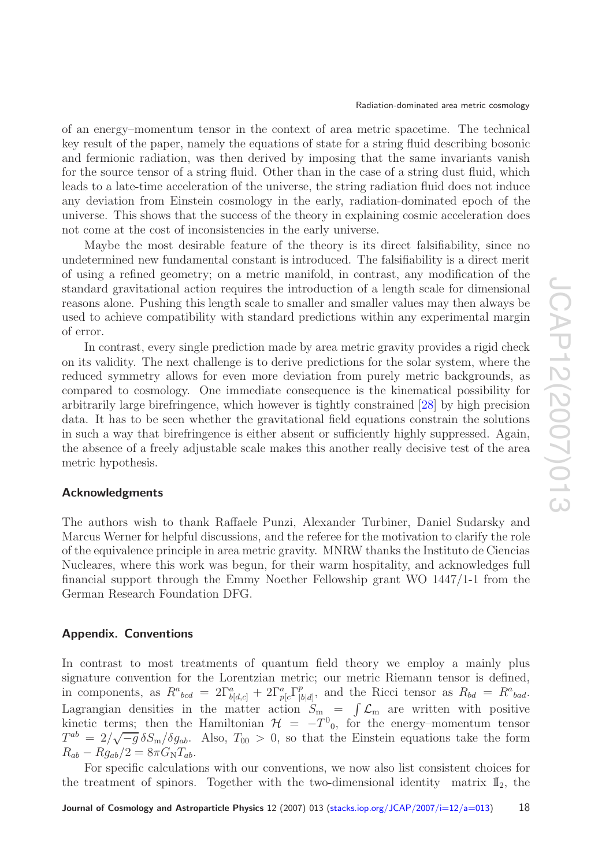of an energy–momentum tensor in the context of area metric spacetime. The technical key result of the paper, namely the equations of state for a string fluid describing bosonic and fermionic radiation, was then derived by imposing that the same invariants vanish for the source tensor of a string fluid. Other than in the case of a string dust fluid, which leads to a late-time acceleration of the universe, the string radiation fluid does not induce any deviation from Einstein cosmology in the early, radiation-dominated epoch of the universe. This shows that the success of the theory in explaining cosmic acceleration does not come at the cost of inconsistencies in the early universe.

Maybe the most desirable feature of the theory is its direct falsifiability, since no undetermined new fundamental constant is introduced. The falsifiability is a direct merit of using a refined geometry; on a metric manifold, in contrast, any modification of the standard gravitational action requires the introduction of a length scale for dimensional reasons alone. Pushing this length scale to smaller and smaller values may then always be used to achieve compatibility with standard predictions within any experimental margin of error.

In contrast, every single prediction made by area metric gravity provides a rigid check on its validity. The next challenge is to derive predictions for the solar system, where the reduced symmetry allows for even more deviation from purely metric backgrounds, as compared to cosmology. One immediate consequence is the kinematical possibility for arbitrarily large birefringence, which however is tightly constrained [\[28\]](#page-19-17) by high precision data. It has to be seen whether the gravitational field equations constrain the solutions in such a way that birefringence is either absent or sufficiently highly suppressed. Again, the absence of a freely adjustable scale makes this another really decisive test of the area metric hypothesis.

#### <span id="page-17-0"></span>**Acknowledgments**

The authors wish to thank Raffaele Punzi, Alexander Turbiner, Daniel Sudarsky and Marcus Werner for helpful discussions, and the referee for the motivation to clarify the role of the equivalence principle in area metric gravity. MNRW thanks the Instituto de Ciencias Nucleares, where this work was begun, for their warm hospitality, and acknowledges full financial support through the Emmy Noether Fellowship grant WO 1447/1-1 from the German Research Foundation DFG.

#### <span id="page-17-1"></span>**Appendix. Conventions**

In contrast to most treatments of quantum field theory we employ a mainly plus signature convention for the Lorentzian metric; our metric Riemann tensor is defined, in components, as  $R^a{}_{bcd} = 2\Gamma^a_{b[d,c]} + 2\Gamma^a_{p[c}\Gamma^p_{|b[d]},$  and the Ricci tensor as  $R_{bd} = R^a{}_{bad}$ . Lagrangian densities in the matter action  $S_{\rm m} = \int \mathcal{L}_{\rm m}$  are written with positive kinetic terms; then the Hamiltonian  $\mathcal{H} = -T^0_{\,0}$ , for the energy–momentum tensor  $T^{ab} = 2/\sqrt{-g} \delta S_{\rm m}/\delta g_{ab}$ . Also,  $T_{00} > 0$ , so that the Einstein equations take the form  $R_{ab} - R g_{ab}/2 = 8\pi G_\text{N} T_{ab}.$ 

For specific calculations with our conventions, we now also list consistent choices for the treatment of spinors. Together with the two-dimensional identity matrix  $\mathbb{I}_2$ , the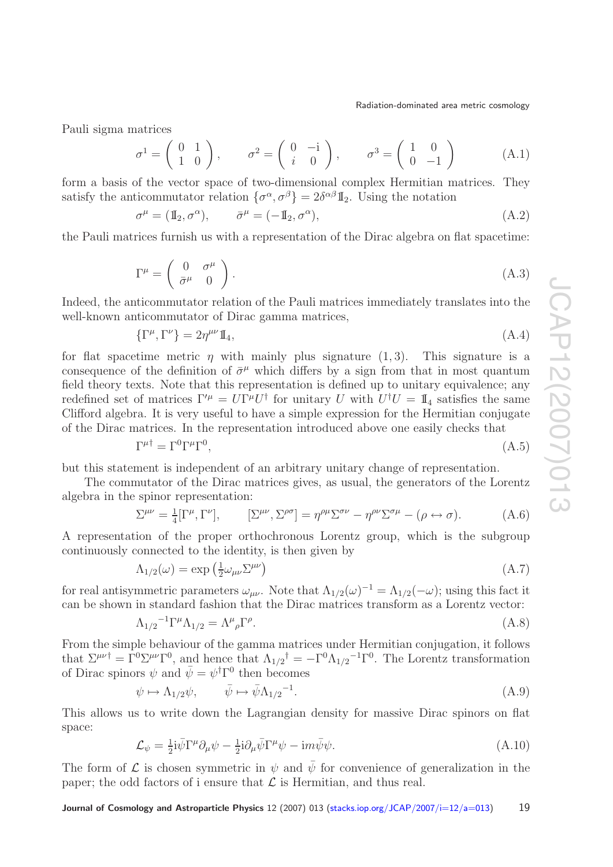Pauli sigma matrices

$$
\sigma^1 = \begin{pmatrix} 0 & 1 \\ 1 & 0 \end{pmatrix}, \qquad \sigma^2 = \begin{pmatrix} 0 & -i \\ i & 0 \end{pmatrix}, \qquad \sigma^3 = \begin{pmatrix} 1 & 0 \\ 0 & -1 \end{pmatrix} \tag{A.1}
$$

form a basis of the vector space of two-dimensional complex Hermitian matrices. They satisfy the anticommutator relation  $\{\sigma^{\alpha}, \sigma^{\beta}\} = 2\delta^{\alpha\beta}\mathbb{I}_2$ . Using the notation

$$
\sigma^{\mu} = (\mathbb{I}_2, \sigma^{\alpha}), \qquad \bar{\sigma}^{\mu} = (-\mathbb{I}_2, \sigma^{\alpha}), \qquad (A.2)
$$

the Pauli matrices furnish us with a representation of the Dirac algebra on flat spacetime:

$$
\Gamma^{\mu} = \begin{pmatrix} 0 & \sigma^{\mu} \\ \bar{\sigma}^{\mu} & 0 \end{pmatrix} . \tag{A.3}
$$

Indeed, the anticommutator relation of the Pauli matrices immediately translates into the well-known anticommutator of Dirac gamma matrices,

<span id="page-18-2"></span>
$$
\{\Gamma^{\mu}, \Gamma^{\nu}\} = 2\eta^{\mu\nu}\mathbb{I}_4,\tag{A.4}
$$

for flat spacetime metric  $\eta$  with mainly plus signature  $(1, 3)$ . This signature is a consequence of the definition of  $\bar{\sigma}^{\mu}$  which differs by a sign from that in most quantum field theory texts. Note that this representation is defined up to unitary equivalence; any redefined set of matrices  $\Gamma^{\prime \mu} = U \Gamma^{\mu} U^{\dagger}$  for unitary U with  $U^{\dagger} U = \mathbb{I}_4$  satisfies the same Clifford algebra. It is very useful to have a simple expression for the Hermitian conjugate of the Dirac matrices. In the representation introduced above one easily checks that

<span id="page-18-5"></span>
$$
\Gamma^{\mu\dagger} = \Gamma^0 \Gamma^\mu \Gamma^0,\tag{A.5}
$$

but this statement is independent of an arbitrary unitary change of representation.

The commutator of the Dirac matrices gives, as usual, the generators of the Lorentz algebra in the spinor representation:

<span id="page-18-1"></span>
$$
\Sigma^{\mu\nu} = \frac{1}{4} [\Gamma^{\mu}, \Gamma^{\nu}], \qquad [\Sigma^{\mu\nu}, \Sigma^{\rho\sigma}] = \eta^{\rho\mu} \Sigma^{\sigma\nu} - \eta^{\rho\nu} \Sigma^{\sigma\mu} - (\rho \leftrightarrow \sigma). \tag{A.6}
$$

A representation of the proper orthochronous Lorentz group, which is the subgroup continuously connected to the identity, is then given by

<span id="page-18-0"></span>
$$
\Lambda_{1/2}(\omega) = \exp\left(\frac{1}{2}\omega_{\mu\nu}\Sigma^{\mu\nu}\right) \tag{A.7}
$$

for real antisymmetric parameters  $\omega_{\mu\nu}$ . Note that  $\Lambda_{1/2}(\omega)^{-1} = \Lambda_{1/2}(-\omega)$ ; using this fact it can be shown in standard fashion that the Dirac matrices transform as a Lorentz vector:

<span id="page-18-3"></span>
$$
\Lambda_{1/2}^{-1} \Gamma^{\mu} \Lambda_{1/2} = \Lambda^{\mu}{}_{\rho} \Gamma^{\rho}.
$$
\n(A.8)

From the simple behaviour of the gamma matrices under Hermitian conjugation, it follows that  $\Sigma^{\mu\nu\dagger} = \Gamma^0 \Sigma^{\mu\nu} \Gamma^0$ , and hence that  $\Lambda_{1/2}{}^{\dagger} = -\Gamma^0 \Lambda_{1/2}{}^{-1} \Gamma^0$ . The Lorentz transformation of Dirac spinors  $\psi$  and  $\bar{\psi} = \psi^{\dagger} \Gamma^{0}$  then becomes

$$
\psi \mapsto \Lambda_{1/2}\psi, \qquad \bar{\psi} \mapsto \bar{\psi}\Lambda_{1/2}^{-1}.\tag{A.9}
$$

<span id="page-18-4"></span>This allows us to write down the Lagrangian density for massive Dirac spinors on flat space:

$$
\mathcal{L}_{\psi} = \frac{1}{2} i \bar{\psi} \Gamma^{\mu} \partial_{\mu} \psi - \frac{1}{2} i \partial_{\mu} \bar{\psi} \Gamma^{\mu} \psi - i m \bar{\psi} \psi.
$$
 (A.10)

The form of  $\mathcal L$  is chosen symmetric in  $\psi$  and  $\bar{\psi}$  for convenience of generalization in the paper; the odd factors of i ensure that  $\mathcal L$  is Hermitian, and thus real.